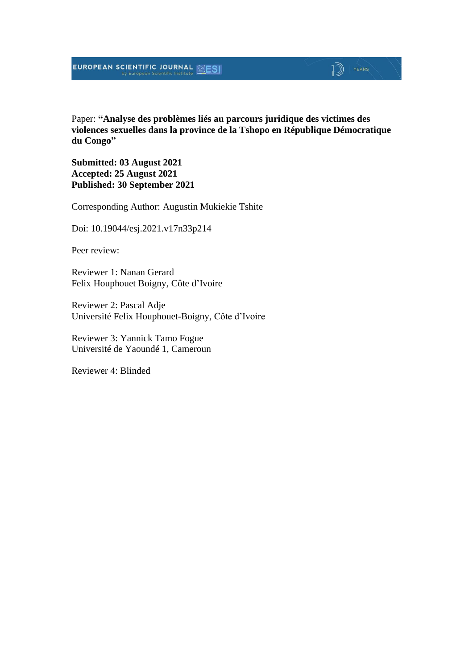Paper: **"Analyse des problèmes liés au parcours juridique des victimes des violences sexuelles dans la province de la Tshopo en République Démocratique du Congo"**

**Submitted: 03 August 2021 Accepted: 25 August 2021 Published: 30 September 2021**

Corresponding Author: Augustin Mukiekie Tshite

Doi: 10.19044/esj.2021.v17n33p214

Peer review:

Reviewer 1: Nanan Gerard Felix Houphouet Boigny, Côte d'Ivoire

Reviewer 2: Pascal Adje Université Felix Houphouet-Boigny, Côte d'Ivoire

Reviewer 3: Yannick Tamo Fogue Université de Yaoundé 1, Cameroun

Reviewer 4: Blinded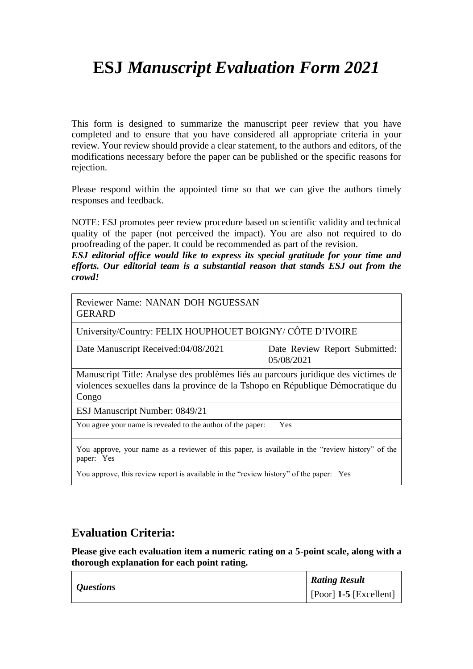This form is designed to summarize the manuscript peer review that you have completed and to ensure that you have considered all appropriate criteria in your review. Your review should provide a clear statement, to the authors and editors, of the modifications necessary before the paper can be published or the specific reasons for rejection.

Please respond within the appointed time so that we can give the authors timely responses and feedback.

NOTE: ESJ promotes peer review procedure based on scientific validity and technical quality of the paper (not perceived the impact). You are also not required to do proofreading of the paper. It could be recommended as part of the revision.

*ESJ editorial office would like to express its special gratitude for your time and efforts. Our editorial team is a substantial reason that stands ESJ out from the crowd!*

| Reviewer Name: NANAN DOH NGUESSAN<br><b>GERARD</b>                                                                                                                             |                                             |  |
|--------------------------------------------------------------------------------------------------------------------------------------------------------------------------------|---------------------------------------------|--|
| University/Country: FELIX HOUPHOUET BOIGNY/ CÔTE D'IVOIRE                                                                                                                      |                                             |  |
| Date Manuscript Received:04/08/2021                                                                                                                                            | Date Review Report Submitted:<br>05/08/2021 |  |
| Manuscript Title: Analyse des problèmes liés au parcours juridique des victimes de<br>violences sexuelles dans la province de la Tshopo en République Démocratique du<br>Congo |                                             |  |
| ESJ Manuscript Number: 0849/21                                                                                                                                                 |                                             |  |
| You agree your name is revealed to the author of the paper:<br>Yes                                                                                                             |                                             |  |
| You approve, your name as a reviewer of this paper, is available in the "review history" of the<br>paper: Yes                                                                  |                                             |  |
| You approve, this review report is available in the "review history" of the paper: Yes                                                                                         |                                             |  |

#### **Evaluation Criteria:**

| <i>Questions</i> | <b>Rating Result</b>           |
|------------------|--------------------------------|
|                  | $\vert$ [Poor] 1-5 [Excellent] |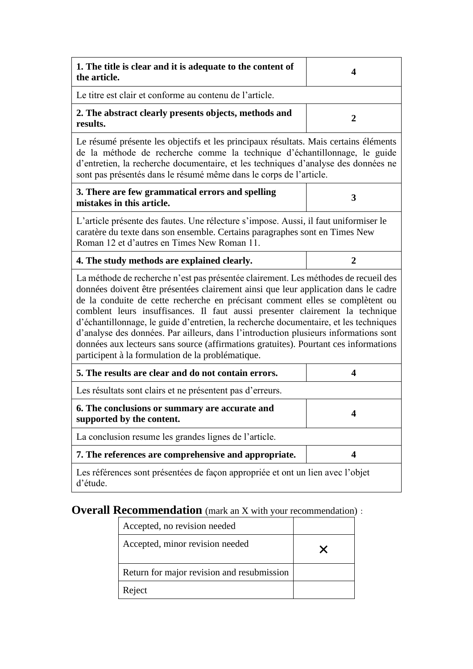| 1. The title is clear and it is adequate to the content of<br>the article.                                                                                                                                                                                                                                                                                                                                                                                                                                                                                                                                            | 4                       |  |
|-----------------------------------------------------------------------------------------------------------------------------------------------------------------------------------------------------------------------------------------------------------------------------------------------------------------------------------------------------------------------------------------------------------------------------------------------------------------------------------------------------------------------------------------------------------------------------------------------------------------------|-------------------------|--|
| Le titre est clair et conforme au contenu de l'article.                                                                                                                                                                                                                                                                                                                                                                                                                                                                                                                                                               |                         |  |
| 2. The abstract clearly presents objects, methods and<br>results.                                                                                                                                                                                                                                                                                                                                                                                                                                                                                                                                                     | $\overline{2}$          |  |
| Le résumé présente les objectifs et les principaux résultats. Mais certains éléments<br>de la méthode de recherche comme la technique d'échantillonnage, le guide<br>d'entretien, la recherche documentaire, et les techniques d'analyse des données ne<br>sont pas présentés dans le résumé même dans le corps de l'article.                                                                                                                                                                                                                                                                                         |                         |  |
| 3. There are few grammatical errors and spelling<br>mistakes in this article.                                                                                                                                                                                                                                                                                                                                                                                                                                                                                                                                         | 3                       |  |
| L'article présente des fautes. Une rélecture s'impose. Aussi, il faut uniformiser le<br>caratère du texte dans son ensemble. Certains paragraphes sont en Times New<br>Roman 12 et d'autres en Times New Roman 11.                                                                                                                                                                                                                                                                                                                                                                                                    |                         |  |
| 4. The study methods are explained clearly.                                                                                                                                                                                                                                                                                                                                                                                                                                                                                                                                                                           | $\overline{2}$          |  |
| La méthode de recherche n'est pas présentée clairement. Les méthodes de recueil des<br>données doivent être présentées clairement ainsi que leur application dans le cadre<br>de la conduite de cette recherche en précisant comment elles se complètent ou<br>comblent leurs insuffisances. Il faut aussi presenter clairement la technique<br>d'échantillonnage, le guide d'entretien, la recherche documentaire, et les techniques<br>d'analyse des données. Par ailleurs, dans l'introduction plusieurs informations sont<br>données aux lecteurs sans source (affirmations gratuites). Pourtant ces informations |                         |  |
| participent à la formulation de la problématique.                                                                                                                                                                                                                                                                                                                                                                                                                                                                                                                                                                     |                         |  |
| 5. The results are clear and do not contain errors.                                                                                                                                                                                                                                                                                                                                                                                                                                                                                                                                                                   | 4                       |  |
| Les résultats sont clairs et ne présentent pas d'erreurs.                                                                                                                                                                                                                                                                                                                                                                                                                                                                                                                                                             |                         |  |
| 6. The conclusions or summary are accurate and<br>supported by the content.                                                                                                                                                                                                                                                                                                                                                                                                                                                                                                                                           | $\overline{\mathbf{4}}$ |  |
| La conclusion resume les grandes lignes de l'article.                                                                                                                                                                                                                                                                                                                                                                                                                                                                                                                                                                 |                         |  |
| 7. The references are comprehensive and appropriate.                                                                                                                                                                                                                                                                                                                                                                                                                                                                                                                                                                  | $\overline{\mathbf{4}}$ |  |

| Accepted, no revision needed               |  |
|--------------------------------------------|--|
| Accepted, minor revision needed            |  |
| Return for major revision and resubmission |  |
| Reject                                     |  |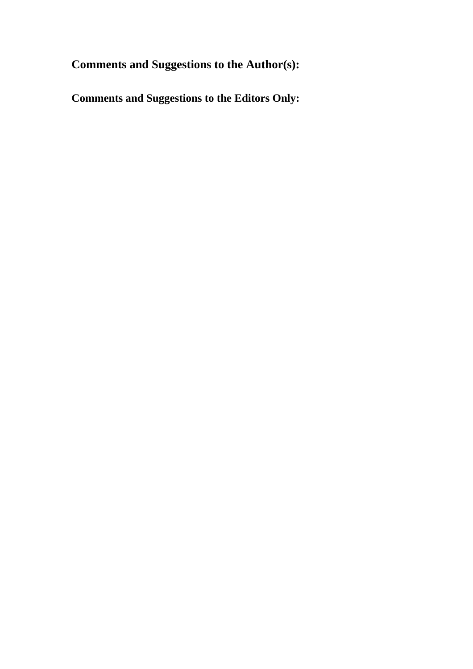**Comments and Suggestions to the Author(s):**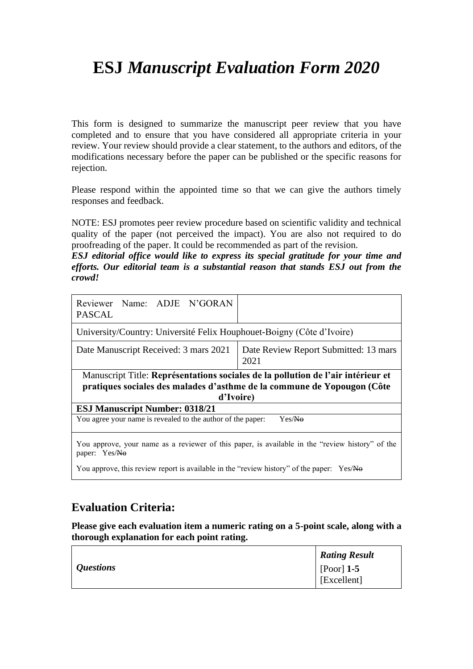This form is designed to summarize the manuscript peer review that you have completed and to ensure that you have considered all appropriate criteria in your review. Your review should provide a clear statement, to the authors and editors, of the modifications necessary before the paper can be published or the specific reasons for rejection.

Please respond within the appointed time so that we can give the authors timely responses and feedback.

NOTE: ESJ promotes peer review procedure based on scientific validity and technical quality of the paper (not perceived the impact). You are also not required to do proofreading of the paper. It could be recommended as part of the revision.

*ESJ editorial office would like to express its special gratitude for your time and efforts. Our editorial team is a substantial reason that stands ESJ out from the crowd!*

| Reviewer Name: ADJE N'GORAN<br><b>PASCAL</b>                                                                                                                             |                                               |  |
|--------------------------------------------------------------------------------------------------------------------------------------------------------------------------|-----------------------------------------------|--|
| University/Country: Université Felix Houphouet-Boigny (Côte d'Ivoire)                                                                                                    |                                               |  |
| Date Manuscript Received: 3 mars 2021                                                                                                                                    | Date Review Report Submitted: 13 mars<br>2021 |  |
| Manuscript Title: Représentations sociales de la pollution de l'air intérieur et<br>pratiques sociales des malades d'asthme de la commune de Yopougon (Côte<br>d'Ivoire) |                                               |  |
| <b>ESJ Manuscript Number: 0318/21</b>                                                                                                                                    |                                               |  |
| You agree your name is revealed to the author of the paper:<br>Yes/No                                                                                                    |                                               |  |
| You approve, your name as a reviewer of this paper, is available in the "review history" of the<br>paper: Yes/No                                                         |                                               |  |
| You approve, this review report is available in the "review history" of the paper: Yes/No                                                                                |                                               |  |

### **Evaluation Criteria:**

|                  | <b>Rating Result</b> |
|------------------|----------------------|
| <i>Questions</i> | $\vert$ [Poor] 1-5   |
|                  | [Excellent]          |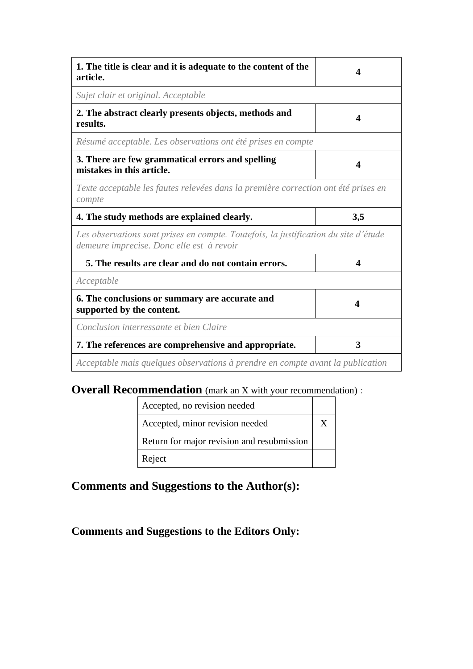| 1. The title is clear and it is adequate to the content of the<br>article.                                                       | 4                      |
|----------------------------------------------------------------------------------------------------------------------------------|------------------------|
| Sujet clair et original. Acceptable                                                                                              |                        |
| 2. The abstract clearly presents objects, methods and<br>results.                                                                | 4                      |
| Résumé acceptable. Les observations ont été prises en compte                                                                     |                        |
| 3. There are few grammatical errors and spelling<br>mistakes in this article.                                                    |                        |
| Texte acceptable les fautes relevées dans la première correction ont été prises en<br>compte                                     |                        |
| 4. The study methods are explained clearly.                                                                                      | 3,5                    |
| Les observations sont prises en compte. Toutefois, la justification du site d'étude<br>demeure imprecise. Donc elle est à revoir |                        |
| 5. The results are clear and do not contain errors.                                                                              | $\boldsymbol{\Lambda}$ |
| Acceptable                                                                                                                       |                        |
| 6. The conclusions or summary are accurate and<br>supported by the content.                                                      | 4                      |
| Conclusion interressante et bien Claire                                                                                          |                        |
| 7. The references are comprehensive and appropriate.                                                                             | 3                      |
| Acceptable mais quelques observations à prendre en compte avant la publication                                                   |                        |

| Accepted, no revision needed               |  |
|--------------------------------------------|--|
| Accepted, minor revision needed            |  |
| Return for major revision and resubmission |  |
| Reject                                     |  |

# **Comments and Suggestions to the Author(s):**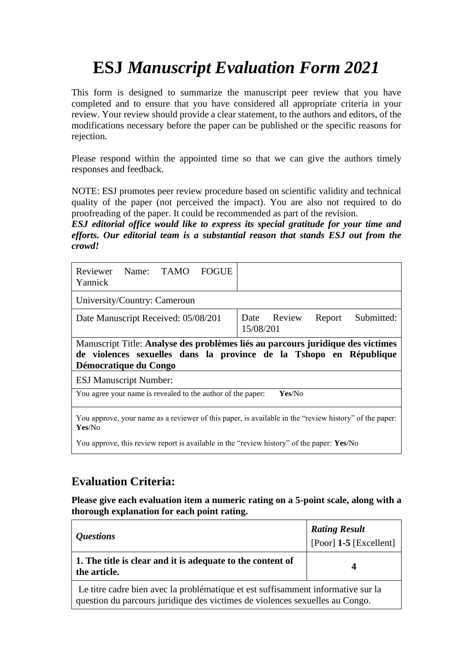This form is designed to summarize the manuscript peer review that you have completed and to ensure that you have considered all appropriate criteria in your review. Your review should provide a clear statement, to the authors and editors, of the modifications necessary before the paper can be published or the specific reasons for rejection.

Please respond within the appointed time so that we can give the authors timely responses and feedback.

NOTE: ESJ promotes peer review procedure based on scientific validity and technical quality of the paper (not perceived the impact). You are also not required to do proofreading of the paper. It could be recommended as part of the revision.

*ESJ editorial office would like to express its special gratitude for your time and efforts. Our editorial team is a substantial reason that stands ESJ out from the crowd!*

| Reviewer Name: TAMO FOGUE<br>Yannick                                                                                                                                           |                                                  |
|--------------------------------------------------------------------------------------------------------------------------------------------------------------------------------|--------------------------------------------------|
| University/Country: Cameroun                                                                                                                                                   |                                                  |
| Date Manuscript Received: 05/08/201                                                                                                                                            | Submitted:<br>Date Review<br>Report<br>15/08/201 |
|                                                                                                                                                                                |                                                  |
| Manuscript Title: Analyse des problèmes liés au parcours juridique des victimes<br>de violences sexuelles dans la province de la Tshopo en République<br>Démocratique du Congo |                                                  |
| <b>ESJ Manuscript Number:</b>                                                                                                                                                  |                                                  |
| You agree your name is revealed to the author of the paper:                                                                                                                    | Yes/No                                           |

You approve, this review report is available in the "review history" of the paper: **Yes**/No

## **Evaluation Criteria:**

| <i><b>Questions</b></i>                                                                                                                                          | <b>Rating Result</b><br>[Poor] $1-5$ [Excellent] |
|------------------------------------------------------------------------------------------------------------------------------------------------------------------|--------------------------------------------------|
| 1. The title is clear and it is adequate to the content of<br>the article.                                                                                       | 4                                                |
| Le titre cadre bien avec la problématique et est suffisamment informative sur la<br>question du parcours juridique des victimes de violences sexuelles au Congo. |                                                  |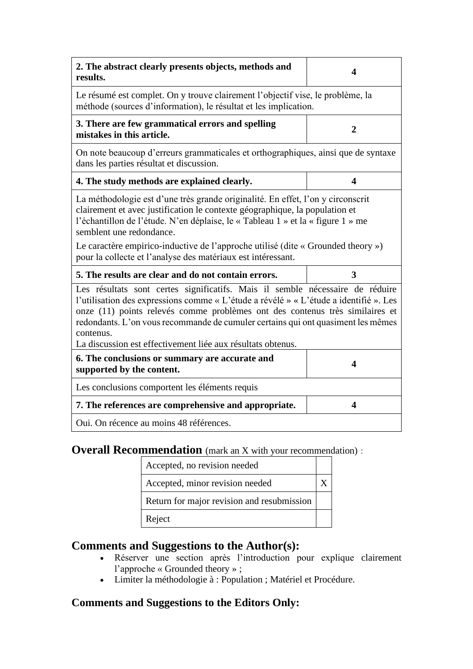| 2. The abstract clearly presents objects, methods and<br>results.                                                                                                                                                                                                                                                                                                 | 4                       |  |
|-------------------------------------------------------------------------------------------------------------------------------------------------------------------------------------------------------------------------------------------------------------------------------------------------------------------------------------------------------------------|-------------------------|--|
| Le résumé est complet. On y trouve clairement l'objectif vise, le problème, la<br>méthode (sources d'information), le résultat et les implication.                                                                                                                                                                                                                |                         |  |
| 3. There are few grammatical errors and spelling<br>mistakes in this article.                                                                                                                                                                                                                                                                                     | $\overline{2}$          |  |
| On note beaucoup d'erreurs grammaticales et orthographiques, ainsi que de syntaxe<br>dans les parties résultat et discussion.                                                                                                                                                                                                                                     |                         |  |
| 4. The study methods are explained clearly.                                                                                                                                                                                                                                                                                                                       | $\overline{\mathbf{4}}$ |  |
| La méthodologie est d'une très grande originalité. En effet, l'on y circonscrit<br>clairement et avec justification le contexte géographique, la population et<br>l'échantillon de l'étude. N'en déplaise, le « Tableau 1 » et la « figure 1 » me<br>semblent une redondance.<br>Le caractère empirico-inductive de l'approche utilisé (dite « Grounded theory ») |                         |  |
| pour la collecte et l'analyse des matériaux est intéressant.                                                                                                                                                                                                                                                                                                      |                         |  |
| 5. The results are clear and do not contain errors.                                                                                                                                                                                                                                                                                                               |                         |  |
|                                                                                                                                                                                                                                                                                                                                                                   | 3                       |  |
| Les résultats sont certes significatifs. Mais il semble nécessaire de réduire<br>l'utilisation des expressions comme « L'étude a révélé » « L'étude a identifié ». Les<br>onze (11) points relevés comme problèmes ont des contenus très similaires et<br>redondants. L'on vous recommande de cumuler certains qui ont quasiment les mêmes<br>contenus.           |                         |  |
| La discussion est effectivement liée aux résultats obtenus.<br>6. The conclusions or summary are accurate and                                                                                                                                                                                                                                                     |                         |  |
| supported by the content.                                                                                                                                                                                                                                                                                                                                         | 4                       |  |
| Les conclusions comportent les éléments requis                                                                                                                                                                                                                                                                                                                    |                         |  |
| 7. The references are comprehensive and appropriate.                                                                                                                                                                                                                                                                                                              | 4                       |  |
| Oui. On récence au moins 48 références.                                                                                                                                                                                                                                                                                                                           |                         |  |

| Accepted, no revision needed               |  |
|--------------------------------------------|--|
| Accepted, minor revision needed            |  |
| Return for major revision and resubmission |  |
| Reject                                     |  |

## **Comments and Suggestions to the Author(s):**

- Réserver une section après l'introduction pour explique clairement l'approche « Grounded theory » ;
- Limiter la méthodologie à : Population ; Matériel et Procédure.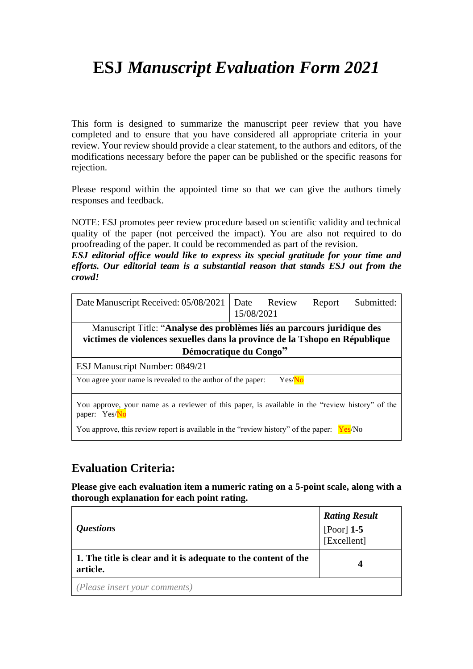This form is designed to summarize the manuscript peer review that you have completed and to ensure that you have considered all appropriate criteria in your review. Your review should provide a clear statement, to the authors and editors, of the modifications necessary before the paper can be published or the specific reasons for rejection.

Please respond within the appointed time so that we can give the authors timely responses and feedback.

NOTE: ESJ promotes peer review procedure based on scientific validity and technical quality of the paper (not perceived the impact). You are also not required to do proofreading of the paper. It could be recommended as part of the revision.

*ESJ editorial office would like to express its special gratitude for your time and efforts. Our editorial team is a substantial reason that stands ESJ out from the crowd!*

| Date Manuscript Received: 05/08/2021                                                                                                                   | 15/08/2021 | Date Review | Report | Submitted: |  |  |
|--------------------------------------------------------------------------------------------------------------------------------------------------------|------------|-------------|--------|------------|--|--|
| Manuscript Title: "Analyse des problèmes liés au parcours juridique des<br>victimes de violences sexuelles dans la province de la Tshopo en République |            |             |        |            |  |  |
| Démocratique du Congo"                                                                                                                                 |            |             |        |            |  |  |
| ESJ Manuscript Number: 0849/21                                                                                                                         |            |             |        |            |  |  |
| You agree your name is revealed to the author of the paper:                                                                                            |            | Yes/No      |        |            |  |  |
| You approve, your name as a reviewer of this paper, is available in the "review history" of the<br>paper: Yes/No                                       |            |             |        |            |  |  |
| You approve, this review report is available in the "review history" of the paper:                                                                     |            |             |        | Yes/No     |  |  |

### **Evaluation Criteria:**

| <i><b>Questions</b></i>                                                    | <b>Rating Result</b><br>[Poor] 1-5<br>[Excellent] |
|----------------------------------------------------------------------------|---------------------------------------------------|
| 1. The title is clear and it is adequate to the content of the<br>article. | 4                                                 |
| (Please insert your comments)                                              |                                                   |